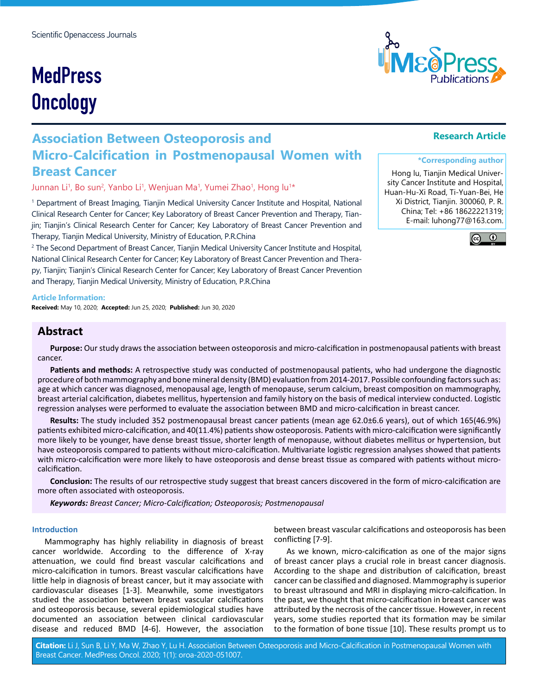# **MedPress Oncology**

## **Association Between Osteoporosis and Micro-Calcification in Postmenopausal Women with Breast Cancer**

Junnan Li<sup>1</sup>, Bo sun<sup>2</sup>, Yanbo Li<sup>1</sup>, Wenjuan Ma<sup>1</sup>, Yumei Zhao<sup>1</sup>, Hong lu<sup>1</sup>\*

1 Department of Breast Imaging, Tianjin Medical University Cancer Institute and Hospital, National Clinical Research Center for Cancer; Key Laboratory of Breast Cancer Prevention and Therapy, Tianjin; Tianjin's Clinical Research Center for Cancer; Key Laboratory of Breast Cancer Prevention and Therapy, Tianjin Medical University, Ministry of Education, P.R.China

2 The Second Department of Breast Cancer, Tianjin Medical University Cancer Institute and Hospital, National Clinical Research Center for Cancer; Key Laboratory of Breast Cancer Prevention and Therapy, Tianjin; Tianjin's Clinical Research Center for Cancer; Key Laboratory of Breast Cancer Prevention and Therapy, Tianjin Medical University, Ministry of Education, P.R.China

#### **Article Information:**

**Received:** May 10, 2020; **Accepted:** Jun 25, 2020; **Published:** Jun 30, 2020

### **Abstract**

**Purpose:** Our study draws the association between osteoporosis and micro-calcification in postmenopausal patients with breast cancer.

**Patients and methods:** A retrospective study was conducted of postmenopausal patients, who had undergone the diagnostic procedure of both mammography and bone mineral density (BMD) evaluation from 2014-2017. Possible confounding factors such as: age at which cancer was diagnosed, menopausal age, length of menopause, serum calcium, breast composition on mammography, breast arterial calcification, diabetes mellitus, hypertension and family history on the basis of medical interview conducted. Logistic regression analyses were performed to evaluate the association between BMD and micro-calcification in breast cancer.

**Results:** The study included 352 postmenopausal breast cancer patients (mean age 62.0±6.6 years), out of which 165(46.9%) patients exhibited micro-calcification, and 40(11.4%) patients show osteoporosis. Patients with micro-calcification were significantly more likely to be younger, have dense breast tissue, shorter length of menopause, without diabetes mellitus or hypertension, but have osteoporosis compared to patients without micro-calcification. Multivariate logistic regression analyses showed that patients with micro-calcification were more likely to have osteoporosis and dense breast tissue as compared with patients without microcalcification.

**Conclusion:** The results of our retrospective study suggest that breast cancers discovered in the form of micro-calcification are more often associated with osteoporosis.

*Keywords: Breast Cancer; Micro-Calcification; Osteoporosis; Postmenopausal*

#### **Introduction**

Mammography has highly reliability in diagnosis of breast cancer worldwide. According to the difference of X-ray attenuation, we could find breast vascular calcifications and micro-calcification in tumors. Breast vascular calcifications have little help in diagnosis of breast cancer, but it may associate with cardiovascular diseases [1-3]. Meanwhile, some investigators studied the association between breast vascular calcifications and osteoporosis because, several epidemiological studies have documented an association between clinical cardiovascular disease and reduced BMD [4-6]. However, the association

between breast vascular calcifications and osteoporosis has been conflicting [7-9].

As we known, micro-calcification as one of the major signs of breast cancer plays a crucial role in breast cancer diagnosis. According to the shape and distribution of calcification, breast cancer can be classified and diagnosed. Mammography is superior to breast ultrasound and MRI in displaying micro-calcification. In the past, we thought that micro-calcification in breast cancer was attributed by the necrosis of the cancer tissue. However, in recent years, some studies reported that its formation may be similar to the formation of bone tissue [10]. These results prompt us to

**Citation:** Li J, Sun B, Li Y, Ma W, Zhao Y, Lu H. Association Between Osteoporosis and Micro-Calcification in Postmenopausal Women with Breast Cancer. MedPress Oncol. 2020; 1(1): oroa-2020-051007.

#### **Research Article**

#### **\*Corresponding author**

Hong lu, Tianjin Medical University Cancer Institute and Hospital, Huan-Hu-Xi Road, Ti-Yuan-Bei, He Xi District, Tianjin. 300060, P. R. China; Tel: +86 18622221319; E-mail: luhong77@163.com.



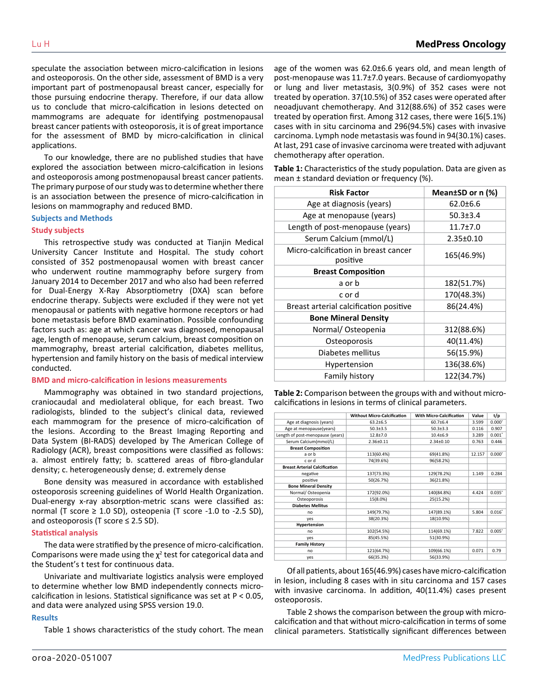speculate the association between micro-calcification in lesions and osteoporosis. On the other side, assessment of BMD is a very important part of postmenopausal breast cancer, especially for those pursuing endocrine therapy. Therefore, if our data allow us to conclude that micro-calcification in lesions detected on mammograms are adequate for identifying postmenopausal breast cancer patients with osteoporosis, it is of great importance for the assessment of BMD by micro-calcification in clinical applications.

To our knowledge, there are no published studies that have explored the association between micro-calcification in lesions and osteoporosis among postmenopausal breast cancer patients. The primary purpose of our study was to determine whether there is an association between the presence of micro-calcification in lesions on mammography and reduced BMD.

#### **Subjects and Methods**

#### **Study subjects**

This retrospective study was conducted at Tianjin Medical University Cancer Institute and Hospital. The study cohort consisted of 352 postmenopausal women with breast cancer who underwent routine mammography before surgery from January 2014 to December 2017 and who also had been referred for Dual-Energy X-Ray Absorptiometry (DXA) scan before endocrine therapy. Subjects were excluded if they were not yet menopausal or patients with negative hormone receptors or had bone metastasis before BMD examination. Possible confounding factors such as: age at which cancer was diagnosed, menopausal age, length of menopause, serum calcium, breast composition on mammography, breast arterial calcification, diabetes mellitus, hypertension and family history on the basis of medical interview conducted.

#### **BMD and micro-calcification in lesions measurements**

Mammography was obtained in two standard projections, craniocaudal and mediolateral oblique, for each breast. Two radiologists, blinded to the subject's clinical data, reviewed each mammogram for the presence of micro-calcification of the lesions. According to the Breast Imaging Reporting and Data System (BI-RADS) developed by The American College of Radiology (ACR), breast compositions were classified as follows: a. almost entirely fatty; b. scattered areas of fibro-glandular density; c. heterogeneously dense; d. extremely dense

Bone density was measured in accordance with established osteoporosis screening guidelines of World Health Organization. Dual-energy x-ray absorption-metric scans were classified as: normal (T score  $\geq 1.0$  SD), osteopenia (T score -1.0 to -2.5 SD), and osteoporosis (T score  $\leq$  2.5 SD).

#### **Statistical analysis**

The data were stratified by the presence of micro-calcification. Comparisons were made using the  $\chi^2$  test for categorical data and the Student's t test for continuous data.

Univariate and multivariate logistics analysis were employed to determine whether low BMD independently connects microcalcification in lesions. Statistical significance was set at P < 0.05, and data were analyzed using SPSS version 19.0.

#### **Results**

Table 1 shows characteristics of the study cohort. The mean

age of the women was 62.0±6.6 years old, and mean length of post-menopause was 11.7±7.0 years. Because of cardiomyopathy or lung and liver metastasis, 3(0.9%) of 352 cases were not treated by operation. 37(10.5%) of 352 cases were operated after neoadjuvant chemotherapy. And 312(88.6%) of 352 cases were treated by operation first. Among 312 cases, there were 16(5.1%) cases with in situ carcinoma and 296(94.5%) cases with invasive carcinoma. Lymph node metastasis was found in 94(30.1%) cases. At last, 291 case of invasive carcinoma were treated with adjuvant chemotherapy after operation.

**Table 1:** Characteristics of the study population. Data are given as mean ± standard deviation or frequency (%).

| <b>Risk Factor</b>                               | Mean±SD or n (%) |  |
|--------------------------------------------------|------------------|--|
| Age at diagnosis (years)                         | $62.0 \pm 6.6$   |  |
| Age at menopause (years)                         | $50.3 \pm 3.4$   |  |
| Length of post-menopause (years)                 | $11.7 + 7.0$     |  |
| Serum Calcium (mmol/L)                           | 2.35±0.10        |  |
| Micro-calcification in breast cancer<br>positive | 165(46.9%)       |  |
| <b>Breast Composition</b>                        |                  |  |
| a or b                                           | 182(51.7%)       |  |
| c or d                                           | 170(48.3%)       |  |
| Breast arterial calcification positive           | 86(24.4%)        |  |
| <b>Bone Mineral Density</b>                      |                  |  |
| Normal/Osteopenia                                | 312(88.6%)       |  |
| Osteoporosis                                     | 40(11.4%)        |  |
| Diabetes mellitus                                | 56(15.9%)        |  |
| Hypertension                                     | 136(38.6%)       |  |
| <b>Family history</b>                            | 122(34.7%)       |  |

**Table 2:** Comparison between the groups with and without microcalcifications in lesions in terms of clinical parameters.

|                                      | <b>Without Micro-Calcification</b> | <b>With Micro-Calcification</b> | Value  | t/p                  |
|--------------------------------------|------------------------------------|---------------------------------|--------|----------------------|
| Age at diagnosis (years)             | $63.2 \pm 6.5$                     | $60.7 + 6.4$                    | 3.599  | $0.000*$             |
| Age at menopause(years)              | $50.3{\pm}3.5$                     | $50.3 \pm 3.3$                  | 0.116  | 0.907                |
| Length of post-menopause (years)     | $12.8 + 7.0$                       | $10.4 + 6.9$                    | 3.289  | $0.001$ <sup>*</sup> |
| Serum Calcium(mmol/L)                | 2.36±0.11                          | $2.34 \pm 0.10$                 | 0.763  | 0.446                |
| <b>Breast Composition</b>            |                                    |                                 |        |                      |
| a or b                               | 113(60.4%)                         | 69(41.8%)                       | 12.157 | $0.000*$             |
| c or d                               | 74(39.6%)                          | 96(58.2%)                       |        |                      |
| <b>Breast Arterial Calcification</b> |                                    |                                 |        |                      |
| negative                             | 137(73.3%)                         | 129(78.2%)                      | 1.149  | 0.284                |
| positive                             | 50(26.7%)                          | 36(21.8%)                       |        |                      |
| <b>Bone Mineral Density</b>          |                                    |                                 |        |                      |
| Normal/Osteopenia                    | 172(92.0%)                         | 140(84.8%)                      | 4.424  | $0.035$ <sup>*</sup> |
| Osteoporosis                         | 15(8.0%)                           | 25(15.2%)                       |        |                      |
| <b>Diabetes Mellitus</b>             |                                    |                                 |        |                      |
| no                                   | 149(79.7%)                         | 147(89.1%)                      | 5.804  | 0.016"               |
| ves                                  | 38(20.3%)                          | 18(10.9%)                       |        |                      |
| Hypertension                         |                                    |                                 |        |                      |
| no                                   | 102(54.5%)                         | 114(69.1%)                      | 7.822  | 0.005"               |
| ves                                  | 85(45.5%)                          | 51(30.9%)                       |        |                      |
| <b>Family History</b>                |                                    |                                 |        |                      |
| no                                   | 121(64.7%)                         | 109(66.1%)                      | 0.071  | 0.79                 |
| yes                                  | 66(35.3%)                          | 56(33.9%)                       |        |                      |

Of all patients, about 165(46.9%) cases have micro-calcification in lesion, including 8 cases with in situ carcinoma and 157 cases with invasive carcinoma. In addition, 40(11.4%) cases present osteoporosis.

Table 2 shows the comparison between the group with microcalcification and that without micro-calcification in terms of some clinical parameters. Statistically significant differences between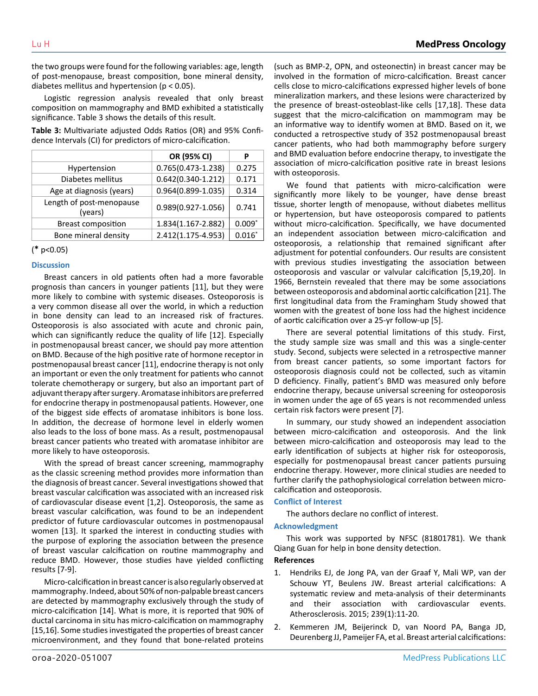the two groups were found for the following variables: age, length of post-menopause, breast composition, bone mineral density, diabetes mellitus and hypertension (p < 0.05).

Logistic regression analysis revealed that only breast composition on mammography and BMD exhibited a statistically significance. Table 3 shows the details of this result.

**Table 3:** Multivariate adjusted Odds Ratios (OR) and 95% Confidence Intervals (CI) for predictors of micro-calcification.

|                                     | OR (95% CI)            | р        |
|-------------------------------------|------------------------|----------|
| Hypertension                        | 0.765(0.473-1.238)     | 0.275    |
| Diabetes mellitus                   | $0.642(0.340-1.212)$   | 0.171    |
| Age at diagnosis (years)            | $0.964(0.899 - 1.035)$ | 0.314    |
| Length of post-menopause<br>(years) | 0.989(0.927-1.056)     | 0.741    |
| <b>Breast composition</b>           | 1.834(1.167-2.882)     | $0.009*$ |
| Bone mineral density                | 2.412(1.175-4.953)     | $0.016*$ |

( ✱ p<0.05)

#### **Discussion**

Breast cancers in old patients often had a more favorable prognosis than cancers in younger patients [11], but they were more likely to combine with systemic diseases. Osteoporosis is a very common disease all over the world, in which a reduction in bone density can lead to an increased risk of fractures. Osteoporosis is also associated with acute and chronic pain, which can significantly reduce the quality of life [12]. Especially in postmenopausal breast cancer, we should pay more attention on BMD. Because of the high positive rate of hormone receptor in postmenopausal breast cancer [11], endocrine therapy is not only an important or even the only treatment for patients who cannot tolerate chemotherapy or surgery, but also an important part of adjuvant therapy after surgery. Aromatase inhibitors are preferred for endocrine therapy in postmenopausal patients. However, one of the biggest side effects of aromatase inhibitors is bone loss. In addition, the decrease of hormone level in elderly women also leads to the loss of bone mass. As a result, postmenopausal breast cancer patients who treated with aromatase inhibitor are more likely to have osteoporosis.

With the spread of breast cancer screening, mammography as the classic screening method provides more information than the diagnosis of breast cancer. Several investigations showed that breast vascular calcification was associated with an increased risk of cardiovascular disease event [1,2]. Osteoporosis, the same as breast vascular calcification, was found to be an independent predictor of future cardiovascular outcomes in postmenopausal women [13]. It sparked the interest in conducting studies with the purpose of exploring the association between the presence of breast vascular calcification on routine mammography and reduce BMD. However, those studies have yielded conflicting results [7-9].

Micro-calcification in breast cancer is also regularly observed at mammography. Indeed, about 50% of non-palpable breast cancers are detected by mammography exclusively through the study of micro-calcification [14]. What is more, it is reported that 90% of ductal carcinoma in situ has micro-calcification on mammography [15,16]. Some studies investigated the properties of breast cancer microenvironment, and they found that bone-related proteins (such as BMP-2, OPN, and osteonectin) in breast cancer may be involved in the formation of micro-calcification. Breast cancer cells close to micro-calcifications expressed higher levels of bone mineralization markers, and these lesions were characterized by the presence of breast-osteoblast-like cells [17,18]. These data suggest that the micro-calcification on mammogram may be an informative way to identify women at BMD. Based on it, we conducted a retrospective study of 352 postmenopausal breast cancer patients, who had both mammography before surgery and BMD evaluation before endocrine therapy, to investigate the association of micro-calcification positive rate in breast lesions with osteoporosis.

We found that patients with micro-calcification were significantly more likely to be younger, have dense breast tissue, shorter length of menopause, without diabetes mellitus or hypertension, but have osteoporosis compared to patients without micro-calcification. Specifically, we have documented an independent association between micro-calcification and osteoporosis, a relationship that remained significant after adjustment for potential confounders. Our results are consistent with previous studies investigating the association between osteoporosis and vascular or valvular calcification [5,19,20]. In 1966, Bernstein revealed that there may be some associations between osteoporosis and abdominal aortic calcification [21]. The first longitudinal data from the Framingham Study showed that women with the greatest of bone loss had the highest incidence of aortic calcification over a 25-yr follow-up [5].

There are several potential limitations of this study. First, the study sample size was small and this was a single-center study. Second, subjects were selected in a retrospective manner from breast cancer patients, so some important factors for osteoporosis diagnosis could not be collected, such as vitamin D deficiency. Finally, patient's BMD was measured only before endocrine therapy, because universal screening for osteoporosis in women under the age of 65 years is not recommended unless certain risk factors were present [7].

In summary, our study showed an independent association between micro-calcification and osteoporosis. And the link between micro-calcification and osteoporosis may lead to the early identification of subjects at higher risk for osteoporosis, especially for postmenopausal breast cancer patients pursuing endocrine therapy. However, more clinical studies are needed to further clarify the pathophysiological correlation between microcalcification and osteoporosis.

#### **Conflict of Interest**

The authors declare no conflict of interest.

#### **Acknowledgment**

This work was supported by NFSC (81801781). We thank Qiang Guan for help in bone density detection.

#### **References**

- 1. [Hendriks EJ, de Jong PA, van der Graaf Y, Mali WP, van der](https://www.atherosclerosis-journal.com/article/S0021-9150(14)01657-8/abstract) [Schouw YT, Beulens JW. Breast arterial calcifications: A](https://www.atherosclerosis-journal.com/article/S0021-9150(14)01657-8/abstract) [systematic review and meta-analysis of their determinants](https://www.atherosclerosis-journal.com/article/S0021-9150(14)01657-8/abstract)  [and their association with cardiovascular events.](https://www.atherosclerosis-journal.com/article/S0021-9150(14)01657-8/abstract) [Atherosclerosis. 2015; 239\(1\):11-20.](https://www.atherosclerosis-journal.com/article/S0021-9150(14)01657-8/abstract)
- 2. [Kemmeren JM, Beijerinck D, van Noord PA, Banga JD,](https://pubmed.ncbi.nlm.nih.gov/8816524/) [Deurenberg JJ, Pameijer FA, et al. Breast arterial calcifications:](https://pubmed.ncbi.nlm.nih.gov/8816524/)